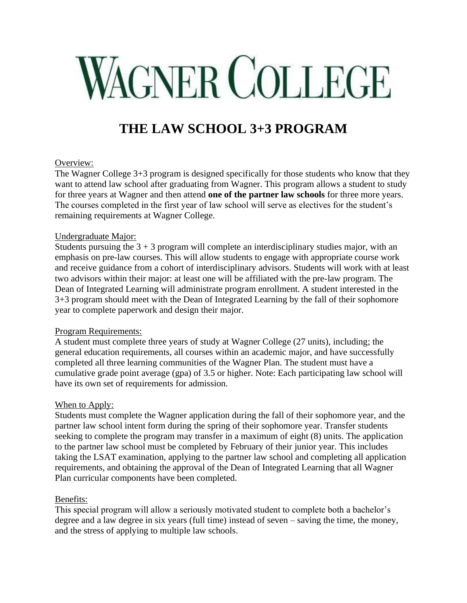# **WAGNER COLLEGE**

# **THE LAW SCHOOL 3+3 PROGRAM**

# Overview:

The Wagner College 3+3 program is designed specifically for those students who know that they want to attend law school after graduating from Wagner. This program allows a student to study for three years at Wagner and then attend **one of the partner law schools** for three more years. The courses completed in the first year of law school will serve as electives for the student's remaining requirements at Wagner College.

# Undergraduate Major:

Students pursuing the  $3 + 3$  program will complete an interdisciplinary studies major, with an emphasis on pre-law courses. This will allow students to engage with appropriate course work and receive guidance from a cohort of interdisciplinary advisors. Students will work with at least two advisors within their major: at least one will be affiliated with the pre-law program. The Dean of Integrated Learning will administrate program enrollment. A student interested in the 3+3 program should meet with the Dean of Integrated Learning by the fall of their sophomore year to complete paperwork and design their major.

# Program Requirements:

A student must complete three years of study at Wagner College (27 units), including; the general education requirements, all courses within an academic major, and have successfully completed all three learning communities of the Wagner Plan. The student must have a cumulative grade point average (gpa) of 3.5 or higher. Note: Each participating law school will have its own set of requirements for admission.

# When to Apply:

Students must complete the Wagner application during the fall of their sophomore year, and the partner law school intent form during the spring of their sophomore year. Transfer students seeking to complete the program may transfer in a maximum of eight (8) units. The application to the partner law school must be completed by February of their junior year. This includes taking the LSAT examination, applying to the partner law school and completing all application requirements, and obtaining the approval of the Dean of Integrated Learning that all Wagner Plan curricular components have been completed.

# Benefits:

This special program will allow a seriously motivated student to complete both a bachelor's degree and a law degree in six years (full time) instead of seven – saving the time, the money, and the stress of applying to multiple law schools.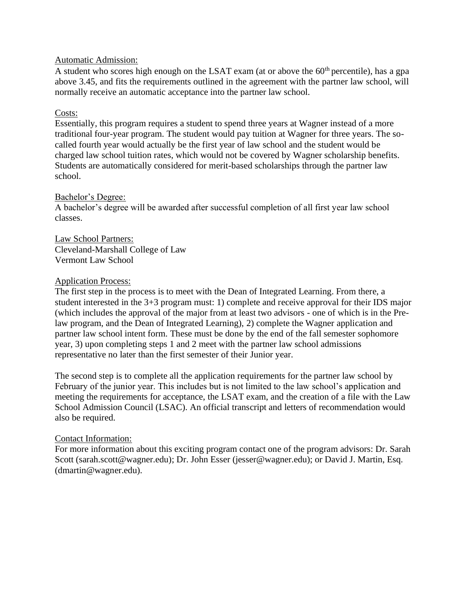#### Automatic Admission:

A student who scores high enough on the LSAT exam (at or above the  $60<sup>th</sup>$  percentile), has a gpa above 3.45, and fits the requirements outlined in the agreement with the partner law school, will normally receive an automatic acceptance into the partner law school.

# Costs:

Essentially, this program requires a student to spend three years at Wagner instead of a more traditional four-year program. The student would pay tuition at Wagner for three years. The socalled fourth year would actually be the first year of law school and the student would be charged law school tuition rates, which would not be covered by Wagner scholarship benefits. Students are automatically considered for merit-based scholarships through the partner law school.

#### Bachelor's Degree:

A bachelor's degree will be awarded after successful completion of all first year law school classes.

#### Law School Partners: Cleveland-Marshall College of Law Vermont Law School

#### Application Process:

The first step in the process is to meet with the Dean of Integrated Learning. From there, a student interested in the 3+3 program must: 1) complete and receive approval for their IDS major (which includes the approval of the major from at least two advisors - one of which is in the Prelaw program, and the Dean of Integrated Learning), 2) complete the Wagner application and partner law school intent form. These must be done by the end of the fall semester sophomore year, 3) upon completing steps 1 and 2 meet with the partner law school admissions representative no later than the first semester of their Junior year.

The second step is to complete all the application requirements for the partner law school by February of the junior year. This includes but is not limited to the law school's application and meeting the requirements for acceptance, the LSAT exam, and the creation of a file with the Law School Admission Council (LSAC). An official transcript and letters of recommendation would also be required.

#### Contact Information:

For more information about this exciting program contact one of the program advisors: Dr. Sarah Scott (sarah.scott@wagner.edu); Dr. John Esser (jesser@wagner.edu); or David J. Martin, Esq. (dmartin@wagner.edu).